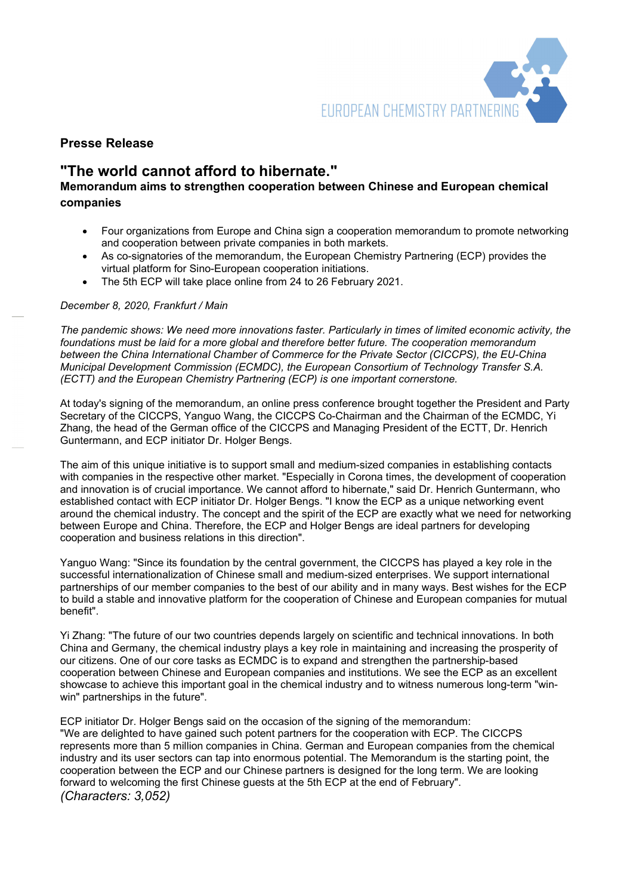

## Presse Release

# "The world cannot afford to hibernate."

## Memorandum aims to strengthen cooperation between Chinese and European chemical companies

- Four organizations from Europe and China sign a cooperation memorandum to promote networking and cooperation between private companies in both markets.
- As co-signatories of the memorandum, the European Chemistry Partnering (ECP) provides the virtual platform for Sino-European cooperation initiations.
- The 5th ECP will take place online from 24 to 26 February 2021.

### December 8, 2020, Frankfurt / Main

The pandemic shows: We need more innovations faster. Particularly in times of limited economic activity, the foundations must be laid for a more global and therefore better future. The cooperation memorandum between the China International Chamber of Commerce for the Private Sector (CICCPS), the EU-China Municipal Development Commission (ECMDC), the European Consortium of Technology Transfer S.A. (ECTT) and the European Chemistry Partnering (ECP) is one important cornerstone.

At today's signing of the memorandum, an online press conference brought together the President and Party Secretary of the CICCPS, Yanguo Wang, the CICCPS Co-Chairman and the Chairman of the ECMDC, Yi Zhang, the head of the German office of the CICCPS and Managing President of the ECTT, Dr. Henrich Guntermann, and ECP initiator Dr. Holger Bengs.

The aim of this unique initiative is to support small and medium-sized companies in establishing contacts with companies in the respective other market. "Especially in Corona times, the development of cooperation and innovation is of crucial importance. We cannot afford to hibernate," said Dr. Henrich Guntermann, who established contact with ECP initiator Dr. Holger Bengs. "I know the ECP as a unique networking event around the chemical industry. The concept and the spirit of the ECP are exactly what we need for networking between Europe and China. Therefore, the ECP and Holger Bengs are ideal partners for developing cooperation and business relations in this direction".

Yanguo Wang: "Since its foundation by the central government, the CICCPS has played a key role in the successful internationalization of Chinese small and medium-sized enterprises. We support international partnerships of our member companies to the best of our ability and in many ways. Best wishes for the ECP to build a stable and innovative platform for the cooperation of Chinese and European companies for mutual benefit".

Yi Zhang: "The future of our two countries depends largely on scientific and technical innovations. In both China and Germany, the chemical industry plays a key role in maintaining and increasing the prosperity of our citizens. One of our core tasks as ECMDC is to expand and strengthen the partnership-based cooperation between Chinese and European companies and institutions. We see the ECP as an excellent showcase to achieve this important goal in the chemical industry and to witness numerous long-term "winwin" partnerships in the future".

ECP initiator Dr. Holger Bengs said on the occasion of the signing of the memorandum: "We are delighted to have gained such potent partners for the cooperation with ECP. The CICCPS represents more than 5 million companies in China. German and European companies from the chemical industry and its user sectors can tap into enormous potential. The Memorandum is the starting point, the cooperation between the ECP and our Chinese partners is designed for the long term. We are looking forward to welcoming the first Chinese guests at the 5th ECP at the end of February". (Characters: 3,052)